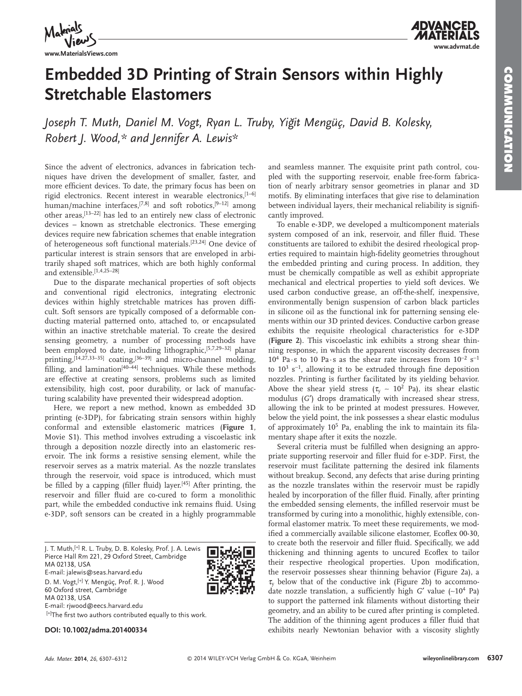

**www.MaterialsViews.com**



# **Embedded 3D Printing of Strain Sensors within Highly Stretchable Elastomers**

Joseph T. Muth, Daniel M. Vogt, Ryan L. Truby, Yiğit Mengüç, David B. Kolesky,  *Robert J. Wood ,\* and Jennifer A. Lewis \**

 Since the advent of electronics, advances in fabrication techniques have driven the development of smaller, faster, and more efficient devices. To date, the primary focus has been on rigid electronics. Recent interest in wearable electronics, [1-6] human/machine interfaces,  $[7,8]$  and soft robotics,  $[9-12]$  among other areas,  $[13-22]$  has led to an entirely new class of electronic devices – known as stretchable electronics. These emerging devices require new fabrication schemes that enable integration of heterogeneous soft functional materials.<sup>[23,24]</sup> One device of particular interest is strain sensors that are enveloped in arbitrarily shaped soft matrices, which are both highly conformal and extensible. [1,4,25-28]

 Due to the disparate mechanical properties of soft objects and conventional rigid electronics, integrating electronic devices within highly stretchable matrices has proven difficult. Soft sensors are typically composed of a deformable conducting material patterned onto, attached to, or encapsulated within an inactive stretchable material. To create the desired sensing geometry, a number of processing methods have been employed to date, including lithographic,  $[5,7,29-32]$  planar printing,  $[14, 27, 33-35]$  coating,  $[36-39]$  and micro-channel molding, filling, and lamination<sup>[40 $-44$ ]</sup> techniques. While these methods are effective at creating sensors, problems such as limited extensibility, high cost, poor durability, or lack of manufacturing scalability have prevented their widespread adoption.

 Here, we report a new method, known as embedded 3D printing (e-3DP), for fabricating strain sensors within highly conformal and extensible elastomeric matrices ( **Figure 1** , Movie S1). This method involves extruding a viscoelastic ink through a deposition nozzle directly into an elastomeric reservoir. The ink forms a resistive sensing element, while the reservoir serves as a matrix material. As the nozzle translates through the reservoir, void space is introduced, which must be filled by a capping (filler fluid) layer.<sup> $[45]$ </sup> After printing, the reservoir and filler fluid are co-cured to form a monolithic part, while the embedded conductive ink remains fluid. Using e-3DP, soft sensors can be created in a highly programmable

 J. T. Muth, [+] R. L. Truby, D. B. Kolesky, Prof. J. A. Lewis Pierce Hall Rm 221, 29 Oxford Street, Cambridge MA 02138, USA E-mail: jalewis@seas.harvard.edu D. M. Vogt, [+] Y. Mengüç, Prof. R. J. Wood 60 Oxford street, Cambridge MA 02138, USA E-mail: rjwood@eecs.harvard.edu [+]The first two authors contributed equally to this work.

**DOI: 10.1002/adma.201400334**

and seamless manner. The exquisite print path control, coupled with the supporting reservoir, enable free-form fabrication of nearly arbitrary sensor geometries in planar and 3D motifs. By eliminating interfaces that give rise to delamination between individual layers, their mechanical reliability is significantly improved.

 To enable e-3DP, we developed a multicomponent materials system composed of an ink, reservoir, and filler fluid. These constituents are tailored to exhibit the desired rheological properties required to maintain high-fidelity geometries throughout the embedded printing and curing process. In addition, they must be chemically compatible as well as exhibit appropriate mechanical and electrical properties to yield soft devices. We used carbon conductive grease, an off-the-shelf, inexpensive, environmentally benign suspension of carbon black particles in silicone oil as the functional ink for patterning sensing elements within our 3D printed devices. Conductive carbon grease exhibits the requisite rheological characteristics for e-3DP ( **Figure 2** ). This viscoelastic ink exhibits a strong shear thinning response, in which the apparent viscosity decreases from  $10^4$  Pa·s to 10 Pa·s as the shear rate increases from  $10^{-2}$  s<sup>-1</sup> to  $10^3$  s<sup>-1</sup>, allowing it to be extruded through fine deposition nozzles. Printing is further facilitated by its yielding behavior. Above the shear yield stress ( $\tau_y \sim 10^2$  Pa), its shear elastic modulus (G') drops dramatically with increased shear stress, allowing the ink to be printed at modest pressures. However, below the yield point, the ink possesses a shear elastic modulus of approximately  $10^5$  Pa, enabling the ink to maintain its filamentary shape after it exits the nozzle.

Several criteria must be fulfilled when designing an appropriate supporting reservoir and filler fluid for e-3DP. First, the reservoir must facilitate patterning the desired ink filaments without breakup. Second, any defects that arise during printing as the nozzle translates within the reservoir must be rapidly healed by incorporation of the filler fluid. Finally, after printing the embedded sensing elements, the infilled reservoir must be transformed by curing into a monolithic, highly extensible, conformal elastomer matrix. To meet these requirements, we modified a commercially available silicone elastomer, Ecoflex 00-30, to create both the reservoir and filler fluid. Specifically, we add thickening and thinning agents to uncured Ecoflex to tailor their respective rheological properties. Upon modification, the reservoir possesses shear thinning behavior (Figure 2a), a  $\tau_{v}$  below that of the conductive ink (Figure 2b) to accommodate nozzle translation, a sufficiently high *G'* value (~10<sup>4</sup> Pa) to support the patterned ink filaments without distorting their geometry, and an ability to be cured after printing is completed. The addition of the thinning agent produces a filler fluid that exhibits nearly Newtonian behavior with a viscosity slightly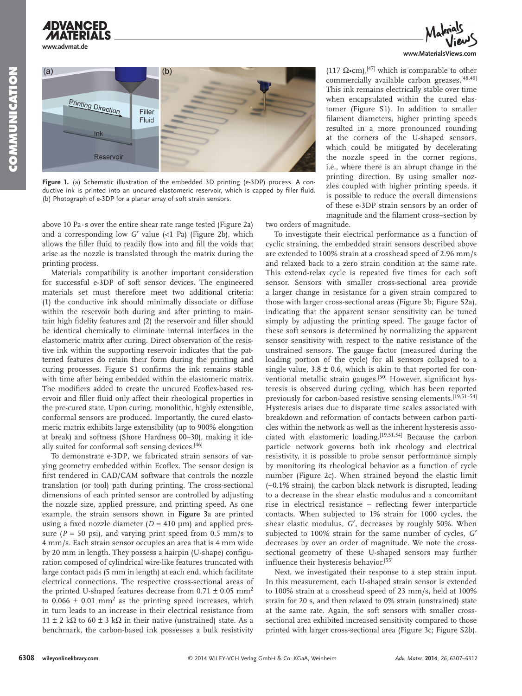





**Figure 1.** (a) Schematic illustration of the embedded 3D printing (e-3DP) process. A conductive ink is printed into an uncured elastomeric reservoir, which is capped by filler fluid. (b) Photograph of e-3DP for a planar array of soft strain sensors.

above 10 Pa $\cdot$ s over the entire shear rate range tested (Figure 2a) and a corresponding low  $G'$  value  $\langle$ <1 Pa) (Figure 2b), which allows the filler fluid to readily flow into and fill the voids that arise as the nozzle is translated through the matrix during the printing process.

 Materials compatibility is another important consideration for successful e-3DP of soft sensor devices. The engineered materials set must therefore meet two additional criteria: (1) the conductive ink should minimally dissociate or diffuse within the reservoir both during and after printing to maintain high fidelity features and (2) the reservoir and filler should be identical chemically to eliminate internal interfaces in the elastomeric matrix after curing. Direct observation of the resistive ink within the supporting reservoir indicates that the patterned features do retain their form during the printing and curing processes. Figure S1 confirms the ink remains stable with time after being embedded within the elastomeric matrix. The modifiers added to create the uncured Ecoflex-based reservoir and filler fluid only affect their rheological properties in the pre-cured state. Upon curing, monolithic, highly extensible, conformal sensors are produced. Importantly, the cured elastomeric matrix exhibits large extensibility (up to 900% elongation at break) and softness (Shore Hardness 00–30), making it ideally suited for conformal soft sensing devices. [46]

 To demonstrate e-3DP, we fabricated strain sensors of varying geometry embedded within Ecoflex. The sensor design is first rendered in CAD/CAM software that controls the nozzle translation (or tool) path during printing. The cross-sectional dimensions of each printed sensor are controlled by adjusting the nozzle size, applied pressure, and printing speed. As one example, the strain sensors shown in **Figure 3** a are printed using a fixed nozzle diameter  $(D = 410 \text{ }\mu\text{m})$  and applied pressure ( $P = 50$  psi), and varying print speed from 0.5 mm/s to 4 mm/s. Each strain sensor occupies an area that is 4 mm wide by 20 mm in length. They possess a hairpin (U-shape) configuration composed of cylindrical wire-like features truncated with large contact pads (5 mm in length) at each end, which facilitate electrical connections. The respective cross-sectional areas of the printed U-shaped features decrease from  $0.71 \pm 0.05$  mm<sup>2</sup> to  $0.066 \pm 0.01$  mm<sup>2</sup> as the printing speed increases, which in turn leads to an increase in their electrical resistance from  $11 \pm 2$  kΩ to 60 ± 3 kΩ in their native (unstrained) state. As a benchmark, the carbon-based ink possesses a bulk resistivity

(117  $\Omega$ •cm),<sup>[47]</sup> which is comparable to other commercially available carbon greases.<sup>[48,49]</sup> This ink remains electrically stable over time when encapsulated within the cured elastomer (Figure S1). In addition to smaller filament diameters, higher printing speeds resulted in a more pronounced rounding at the corners of the U-shaped sensors, which could be mitigated by decelerating the nozzle speed in the corner regions, i.e., where there is an abrupt change in the printing direction. By using smaller nozzles coupled with higher printing speeds, it is possible to reduce the overall dimensions of these e-3DP strain sensors by an order of magnitude and the filament cross-section by

two orders of magnitude.

 To investigate their electrical performance as a function of cyclic straining, the embedded strain sensors described above are extended to 100% strain at a crosshead speed of 2.96 mm/s and relaxed back to a zero strain condition at the same rate. This extend-relax cycle is repeated five times for each soft sensor. Sensors with smaller cross-sectional area provide a larger change in resistance for a given strain compared to those with larger cross-sectional areas (Figure 3b; Figure S2a), indicating that the apparent sensor sensitivity can be tuned simply by adjusting the printing speed. The gauge factor of these soft sensors is determined by normalizing the apparent sensor sensitivity with respect to the native resistance of the unstrained sensors. The gauge factor (measured during the loading portion of the cycle) for all sensors collapsed to a single value,  $3.8 \pm 0.6$ , which is akin to that reported for conventional metallic strain gauges.<sup>[50]</sup> However, significant hysteresis is observed during cycling, which has been reported previously for carbon-based resistive sensing elements.<sup>[19,51-54]</sup> Hysteresis arises due to disparate time scales associated with breakdown and reformation of contacts between carbon particles within the network as well as the inherent hysteresis associated with elastomeric loading.<sup>[19,51,54]</sup> Because the carbon particle network governs both ink rheology and electrical resistivity, it is possible to probe sensor performance simply by monitoring its rheological behavior as a function of cycle number (Figure 2c). When strained beyond the elastic limit (∼0.1% strain), the carbon black network is disrupted, leading to a decrease in the shear elastic modulus and a concomitant rise in electrical resistance - reflecting fewer interparticle contacts. When subjected to 1% strain for 1000 cycles, the shear elastic modulus, *G*′, decreases by roughly 50%. When subjected to 100% strain for the same number of cycles, *G*′ decreases by over an order of magnitude. We note the crosssectional geometry of these U-shaped sensors may further influence their hysteresis behavior.<sup>[55]</sup>

 Next, we investigated their response to a step strain input. In this measurement, each U-shaped strain sensor is extended to 100% strain at a crosshead speed of 23 mm/s, held at 100% strain for 20 s, and then relaxed to 0% strain (unstrained) state at the same rate. Again, the soft sensors with smaller crosssectional area exhibited increased sensitivity compared to those printed with larger cross-sectional area (Figure 3c; Figure S2b).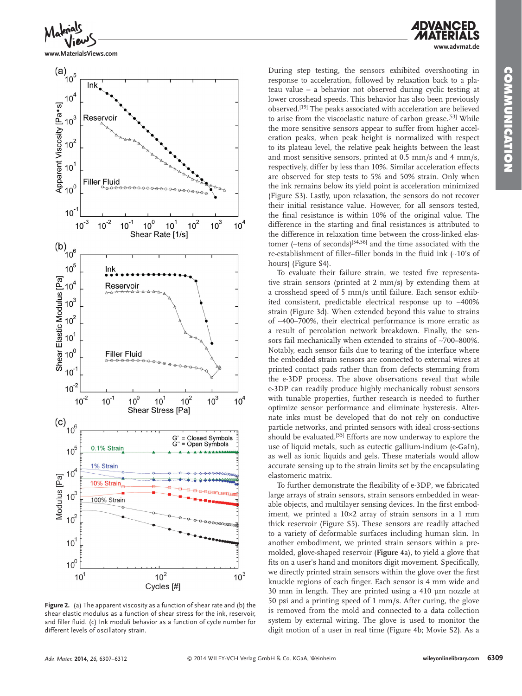**www.advmat.de**



**www.MaterialsViews.com**



**Figure 2.** (a) The apparent viscosity as a function of shear rate and (b) the shear elastic modulus as a function of shear stress for the ink, reservoir, and filler fluid. (c) Ink moduli behavior as a function of cycle number for different levels of oscillatory strain.

During step testing, the sensors exhibited overshooting in response to acceleration, followed by relaxation back to a plateau value – a behavior not observed during cyclic testing at lower crosshead speeds. This behavior has also been previously observed.<sup>[19]</sup> The peaks associated with acceleration are believed to arise from the viscoelastic nature of carbon grease.<sup>[53]</sup> While the more sensitive sensors appear to suffer from higher acceleration peaks, when peak height is normalized with respect to its plateau level, the relative peak heights between the least and most sensitive sensors, printed at 0.5 mm/s and 4 mm/s, respectively, differ by less than 10%. Similar acceleration effects are observed for step tests to 5% and 50% strain. Only when the ink remains below its yield point is acceleration minimized (Figure S3). Lastly, upon relaxation, the sensors do not recover their initial resistance value. However, for all sensors tested, the final resistance is within 10% of the original value. The difference in the starting and final resistances is attributed to the difference in relaxation time between the cross-linked elastomer (~tens of seconds)<sup>[54,56]</sup> and the time associated with the re-establishment of filler–filler bonds in the fluid ink (~10's of hours) (Figure S4).

To evaluate their failure strain, we tested five representative strain sensors (printed at 2 mm/s) by extending them at a crosshead speed of 5 mm/s until failure. Each sensor exhibited consistent, predictable electrical response up to ∼400% strain (Figure 3d). When extended beyond this value to strains of ∼400–700%, their electrical performance is more erratic as a result of percolation network breakdown. Finally, the sensors fail mechanically when extended to strains of ∼700–800%. Notably, each sensor fails due to tearing of the interface where the embedded strain sensors are connected to external wires at printed contact pads rather than from defects stemming from the e-3DP process. The above observations reveal that while e-3DP can readily produce highly mechanically robust sensors with tunable properties, further research is needed to further optimize sensor performance and eliminate hysteresis. Alternate inks must be developed that do not rely on conductive particle networks, and printed sensors with ideal cross-sections should be evaluated.<sup>[55]</sup> Efforts are now underway to explore the use of liquid metals, such as eutectic gallium-indium (e-GaIn), as well as ionic liquids and gels. These materials would allow accurate sensing up to the strain limits set by the encapsulating elastomeric matrix.

To further demonstrate the flexibility of e-3DP, we fabricated large arrays of strain sensors, strain sensors embedded in wearable objects, and multilayer sensing devices. In the first embodiment, we printed a 10×2 array of strain sensors in a 1 mm thick reservoir (Figure S5). These sensors are readily attached to a variety of deformable surfaces including human skin. In another embodiment, we printed strain sensors within a premolded, glove-shaped reservoir ( **Figure 4** a), to yield a glove that fits on a user's hand and monitors digit movement. Specifically, we directly printed strain sensors within the glove over the first knuckle regions of each finger. Each sensor is 4 mm wide and 30 mm in length. They are printed using a 410 µm nozzle at 50 psi and a printing speed of 1 mm/s. After curing, the glove is removed from the mold and connected to a data collection system by external wiring. The glove is used to monitor the digit motion of a user in real time (Figure 4b; Movie S2). As a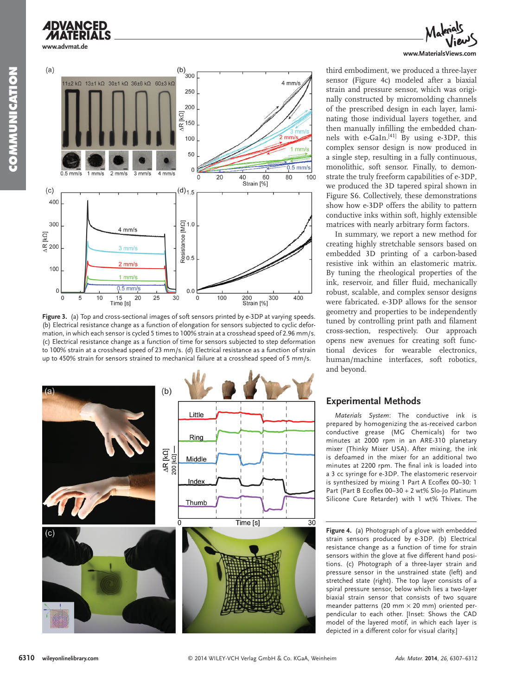



Figure 3. (a) Top and cross-sectional images of soft sensors printed by e-3DP at varying speeds. (b) Electrical resistance change as a function of elongation for sensors subjected to cyclic deformation, in which each sensor is cycled 5 times to 100% strain at a crosshead speed of 2.96 mm/s. (c) Electrical resistance change as a function of time for sensors subjected to step deformation to 100% strain at a crosshead speed of 23 mm/s. (d) Electrical resistance as a function of strain up to 450% strain for sensors strained to mechanical failure at a crosshead speed of 5 mm/s.





third embodiment, we produced a three-layer sensor (Figure 4c) modeled after a biaxial strain and pressure sensor, which was originally constructed by micromolding channels of the prescribed design in each layer, laminating those individual layers together, and then manually infilling the embedded channels with  $e\text{-G}$ aIn.<sup>[41]</sup> By using e-3DP, this complex sensor design is now produced in a single step, resulting in a fully continuous, monolithic, soft sensor. Finally, to demonstrate the truly freeform capabilities of e-3DP, we produced the 3D tapered spiral shown in Figure S6. Collectively, these demonstrations show how e-3DP offers the ability to pattern conductive inks within soft, highly extensible matrices with nearly arbitrary form factors.

 In summary, we report a new method for creating highly stretchable sensors based on embedded 3D printing of a carbon-based resistive ink within an elastomeric matrix. By tuning the rheological properties of the ink, reservoir, and filler fluid, mechanically robust, scalable, and complex sensor designs were fabricated. e-3DP allows for the sensor geometry and properties to be independently tuned by controlling print path and filament cross-section, respectively. Our approach opens new avenues for creating soft functional devices for wearable electronics, human/machine interfaces, soft robotics, and beyond.

## **Experimental Methods**

*Materials System*: The conductive ink is prepared by homogenizing the as-received carbon conductive grease (MG Chemicals) for two minutes at 2000 rpm in an ARE-310 planetary mixer (Thinky Mixer USA). After mixing, the ink is defoamed in the mixer for an additional two minutes at 2200 rpm. The final ink is loaded into a 3 cc syringe for e-3DP. The elastomeric reservoir is synthesized by mixing 1 Part A Ecoflex 00-30: 1 Part (Part B Ecoflex 00-30 + 2 wt% Slo-Jo Platinum Silicone Cure Retarder) with 1 wt% Thivex. The

**Figure 4.** (a) Photograph of a glove with embedded strain sensors produced by e-3DP. (b) Electrical resistance change as a function of time for strain sensors within the glove at five different hand positions. (c) Photograph of a three-layer strain and pressure sensor in the unstrained state (left) and stretched state (right). The top layer consists of a spiral pressure sensor, below which lies a two-layer biaxial strain sensor that consists of two square meander patterns (20 mm  $\times$  20 mm) oriented perpendicular to each other. [Inset: Shows the CAD model of the layered motif, in which each layer is depicted in a different color for visual clarity.]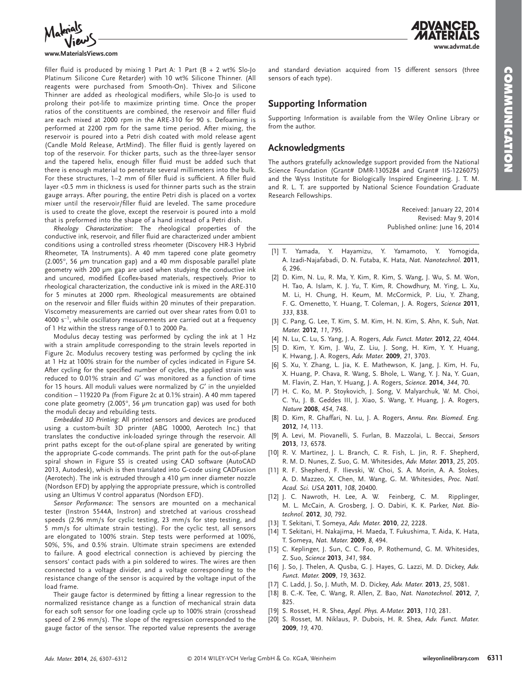

#### **www.MaterialsViews.com**

filler fluid is produced by mixing 1 Part A: 1 Part (B + 2 wt% Slo-Jo Platinum Silicone Cure Retarder) with 10 wt% Silicone Thinner. (All reagents were purchased from Smooth-On). Thivex and Silicone Thinner are added as rheological modifiers, while Slo-Jo is used to prolong their pot-life to maximize printing time. Once the proper ratios of the constituents are combined, the reservoir and filler fluid are each mixed at 2000 rpm in the ARE-310 for 90 s. Defoaming is performed at 2200 rpm for the same time period. After mixing, the reservoir is poured into a Petri dish coated with mold release agent (Candle Mold Release, ArtMind). The filler fluid is gently layered on top of the reservoir. For thicker parts, such as the three-layer sensor and the tapered helix, enough filler fluid must be added such that there is enough material to penetrate several millimeters into the bulk. For these structures, 1-2 mm of filler fluid is sufficient. A filler fluid layer <0.5 mm in thickness is used for thinner parts such as the strain gauge arrays. After pouring, the entire Petri dish is placed on a vortex mixer until the reservoir/filler fluid are leveled. The same procedure is used to create the glove, except the reservoir is poured into a mold that is preformed into the shape of a hand instead of a Petri dish.

*Rheology Characterization*: The rheological properties of the conductive ink, reservoir, and filler fluid are characterized under ambient conditions using a controlled stress rheometer (Discovery HR-3 Hybrid Rheometer, TA Instruments). A 40 mm tapered cone plate geometry (2.005°, 56 µm truncation gap) and a 40 mm disposable parallel plate geometry with 200 µm gap are used when studying the conductive ink and uncured, modified Ecoflex-based materials, respectively. Prior to rheological characterization, the conductive ink is mixed in the ARE-310 for 5 minutes at 2000 rpm. Rheological measurements are obtained on the reservoir and filler fluids within 20 minutes of their preparation. Viscometry measurements are carried out over shear rates from 0.01 to 4000 s<sup>-1</sup>, while oscillatory measurements are carried out at a frequency of 1 Hz within the stress range of 0.1 to 2000 Pa.

 Modulus decay testing was performed by cycling the ink at 1 Hz with a strain amplitude corresponding to the strain levels reported in Figure 2c. Modulus recovery testing was performed by cycling the ink at 1 Hz at 100% strain for the number of cycles indicated in Figure S4. After cycling for the specified number of cycles, the applied strain was reduced to 0.01% strain and *G*′ was monitored as a function of time for 15 hours. All moduli values were normalized by *G*′ in the unyielded condition - 119220 Pa (from Figure 2c at 0.1% strain). A 40 mm tapered cone plate geometry (2.005°, 56 µm truncation gap) was used for both the moduli decay and rebuilding tests.

*Embedded 3D Printing*: All printed sensors and devices are produced using a custom-built 3D printer (ABG 10000, Aerotech Inc.) that translates the conductive ink-loaded syringe through the reservoir. All print paths except for the out-of-plane spiral are generated by writing the appropriate G-code commands. The print path for the out-of-plane spiral shown in Figure S5 is created using CAD software (AutoCAD 2013, Autodesk), which is then translated into G-code using CADFusion (Aerotech). The ink is extruded through a 410 µm inner diameter nozzle (Nordson EFD) by applying the appropriate pressure, which is controlled using an Ultimus V control apparatus (Nordson EFD).

Sensor Performance: The sensors are mounted on a mechanical tester (Instron 5544A, Instron) and stretched at various crosshead speeds (2.96 mm/s for cyclic testing, 23 mm/s for step testing, and 5 mm/s for ultimate strain testing). For the cyclic test, all sensors are elongated to 100% strain. Step tests were performed at 100%, 50%, 5%, and 0.5% strain. Ultimate strain specimens are extended to failure. A good electrical connection is achieved by piercing the sensors' contact pads with a pin soldered to wires. The wires are then connected to a voltage divider, and a voltage corresponding to the resistance change of the sensor is acquired by the voltage input of the load frame.

Their gauge factor is determined by fitting a linear regression to the normalized resistance change as a function of mechanical strain data for each soft sensor for one loading cycle up to 100% strain (crosshead speed of 2.96 mm/s). The slope of the regression corresponded to the gauge factor of the sensor. The reported value represents the average **www.advmat.de**

and standard deviation acquired from 15 different sensors (three sensors of each type).

### **Supporting Information**

 Supporting Information is available from the Wiley Online Library or from the author.

#### **Acknowledgments**

 The authors gratefully acknowledge support provided from the National Science Foundation (Grant# DMR-1305284 and Grant# IIS-1226075) and the Wyss Institute for Biologically Inspired Engineering. J. T. M. and R. L. T. are supported by National Science Foundation Graduate Research Fellowships.

> Received: January 22, 2014 Revised: May 9, 2014 Published online: June 16, 2014

- [1] T. Yamada, Y. Hayamizu, Y. Yamamoto, Y. Yomogida, A. Izadi-Najafabadi, D. N. Futaba, K. Hata, Nat. Nanotechnol. 2011, *6* , 296 .
- [2] D. Kim, N. Lu, R. Ma, Y. Kim, R. Kim, S. Wang, J. Wu, S. M. Won, H. Tao, A. Islam, K. J. Yu, T. Kim, R. Chowdhury, M. Ying, L. Xu, M. Li, H. Chung, H. Keum, M. McCormick, P. Liu, Y. Zhang, F. G. Omenetto, Y. Huang, T. Coleman, J. A. Rogers, *Science* 2011, *333* , 838 .
- [3] C. Pang, G. Lee, T. Kim, S. M. Kim, H. N. Kim, S. Ahn, K. Suh, Nat. *Mater.* **2012** , *11* , 795 .
- [4] N. Lu, C. Lu, S. Yang, J. A. Rogers, Adv. Funct. Mater. 2012, 22, 4044.
- [5] D. Kim, Y. Kim, J. Wu, Z. Liu, J. Song, H. Kim, Y. Y. Huang, K. Hwang, J. A. Rogers, Adv. Mater. 2009, 21, 3703.
- [6] S. Xu, Y. Zhang, L. Jia, K. E. Mathewson, K. Jang, J. Kim, H. Fu, X. Huang, P. Chava, R. Wang, S. Bhole, L. Wang, Y. J. Na, Y. Guan, M. Flavin , Z. Han , Y. Huang , J. A. Rogers , *Science.* **2014** , *344* , 70 .
- [7] H. C. Ko, M. P. Stoykovich, J. Song, V. Malyarchuk, W. M. Choi, C. Yu, J. B. Geddes III, J. Xiao, S. Wang, Y. Huang, J. A. Rogers, *Nature* **2008** , *454* , 748 .
- [8] D. Kim, R. Ghaffari, N. Lu, J. A. Rogers, Annu. Rev. Biomed. Eng.  **2012** , *14* , 113 .
- [9] A. Levi, M. Piovanelli, S. Furlan, B. Mazzolai, L. Beccai, Sensors  **2013** , *13* , 6578 .
- [10] R. V. Martinez, J. L. Branch, C. R. Fish, L. Jin, R. F. Shepherd, R. M. D. Nunes , Z. Suo , G. M. Whitesides , *Adv. Mater.* **2013** , *25* , 205 .
- [11] R. F. Shepherd, F. Ilievski, W. Choi, S. A. Morin, A. A. Stokes, A. D. Mazzeo, X. Chen, M. Wang, G. M. Whitesides, Proc. Natl. *Acad. Sci. USA* **2011** , *108* , 20400 .
- [12] J. C. Nawroth, H. Lee, A. W. Feinberg, C. M. Ripplinger, M. L. McCain, A. Grosberg, J. O. Dabiri, K. K. Parker, Nat. Bio*technol.* **2012** , *30* , 792 .
- [13] T. Sekitani, T. Someya, Adv. Mater. 2010, 22, 2228.
- [14] T. Sekitani, H. Nakajima, H. Maeda, T. Fukushima, T. Aida, K. Hata, T. Someya , *Nat. Mater.* **2009** , *8* , 494 .
- [15] C. Keplinger, J. Sun, C. C. Foo, P. Rothemund, G. M. Whitesides, Z. Suo , *Science* **2013** , *341* , 984 .
- [16] J. So, J. Thelen, A. Qusba, G. J. Hayes, G. Lazzi, M. D. Dickey, Adv. *Funct. Mater.* **2009** , *19* , 3632 .
- [17] C. Ladd, J. So, J. Muth, M. D. Dickey, Adv. Mater. 2013, 25, 5081.
- [18] B. C.-K. Tee, C. Wang, R. Allen, Z. Bao, Nat. Nanotechnol. 2012, 7, 825 .
- [19] S. Rosset, H. R. Shea, *Appl. Phys. A-Mater.* **2013**, *110*, 281.
- [20] S. Rosset, M. Niklaus, P. Dubois, H. R. Shea, Adv. Funct. Mater.  **2009** , *19* , 470 .